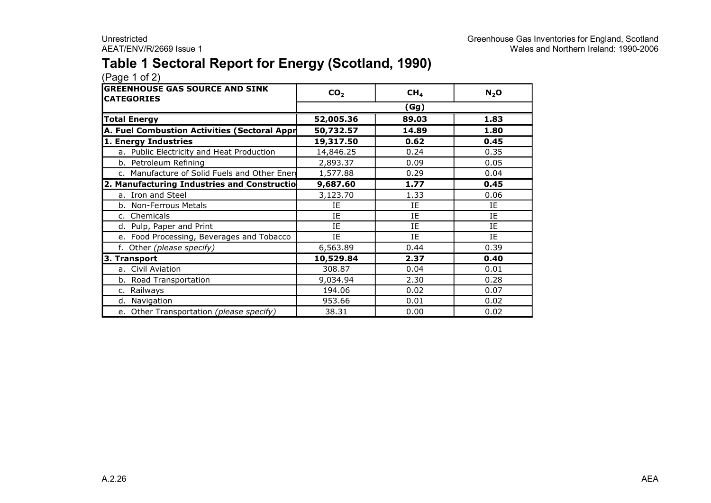### **Table 1 Sectoral Report for Energy (Scotland, 1990)**

| <b>GREENHOUSE GAS SOURCE AND SINK</b><br><b>CATEGORIES</b> | CO <sub>2</sub> | CH <sub>4</sub> | $N_2$ O |  |  |  |
|------------------------------------------------------------|-----------------|-----------------|---------|--|--|--|
|                                                            |                 | (Gg)            |         |  |  |  |
| <b>Total Energy</b>                                        | 52,005.36       | 89.03           |         |  |  |  |
| A. Fuel Combustion Activities (Sectoral Appr               | 50,732.57       | 14.89           | 1.80    |  |  |  |
| 1. Energy Industries                                       | 19,317.50       | 0.62            | 0.45    |  |  |  |
| a. Public Electricity and Heat Production                  | 14,846.25       | 0.24            | 0.35    |  |  |  |
| b. Petroleum Refining                                      | 2,893.37        | 0.09            | 0.05    |  |  |  |
| c. Manufacture of Solid Fuels and Other Ener               | 1,577.88        | 0.29            | 0.04    |  |  |  |
| 2. Manufacturing Industries and Constructio                | 9,687.60        | 1.77            | 0.45    |  |  |  |
| a. Iron and Steel                                          | 3,123.70        | 1.33            | 0.06    |  |  |  |
| b. Non-Ferrous Metals                                      | ΙE              | IE              | IE      |  |  |  |
| c. Chemicals                                               | <b>IF</b>       | IE              | IE      |  |  |  |
| d. Pulp, Paper and Print                                   | IE              | IE              | IE      |  |  |  |
| e. Food Processing, Beverages and Tobacco                  | IE              | IE              | IE      |  |  |  |
| f. Other (please specify)                                  | 6,563.89        | 0.44            | 0.39    |  |  |  |
| 3. Transport                                               | 10,529.84       | 2.37            | 0.40    |  |  |  |
| a. Civil Aviation                                          | 308.87          | 0.04            | 0.01    |  |  |  |
| b. Road Transportation                                     | 9,034.94        | 2.30            | 0.28    |  |  |  |
| c. Railways                                                | 194.06          | 0.02            | 0.07    |  |  |  |
| d. Navigation                                              | 953.66          | 0.01            | 0.02    |  |  |  |
| e. Other Transportation (please specify)                   | 38.31           | 0.00            | 0.02    |  |  |  |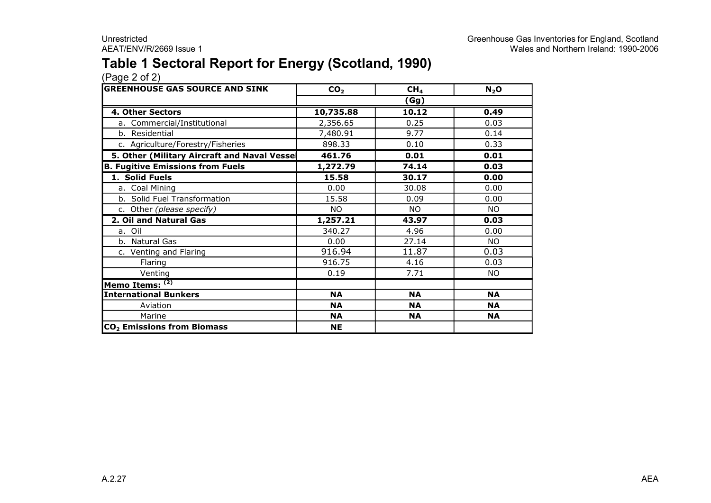### **Table 1 Sectoral Report for Energy (Scotland, 1990)**

| <b>GREENHOUSE GAS SOURCE AND SINK</b>       | CO <sub>2</sub> | CH <sub>4</sub> | $N_2$ O   |
|---------------------------------------------|-----------------|-----------------|-----------|
|                                             |                 | (Gg)            |           |
| 4. Other Sectors                            | 10,735.88       | 10.12           | 0.49      |
| a. Commercial/Institutional                 | 2,356.65        | 0.25            | 0.03      |
| b. Residential                              | 7,480.91        | 9.77            | 0.14      |
| c. Agriculture/Forestry/Fisheries           | 898.33          | 0.10            | 0.33      |
| 5. Other (Military Aircraft and Naval Vesse | 461.76          | 0.01            | 0.01      |
| <b>B. Fugitive Emissions from Fuels</b>     | 1,272.79        | 74.14           | 0.03      |
| 1. Solid Fuels                              | 15.58           | 30.17           | 0.00      |
| a. Coal Mining                              | 0.00            | 30.08           | 0.00      |
| b. Solid Fuel Transformation                | 15.58           | 0.09            | 0.00      |
| c. Other (please specify)                   | NO.             | <b>NO</b>       | <b>NO</b> |
| 2. Oil and Natural Gas                      | 1,257.21        | 43.97           | 0.03      |
| a. Oil                                      | 340.27          | 4.96            | 0.00      |
| b. Natural Gas                              | 0.00            | 27.14           | <b>NO</b> |
| c. Venting and Flaring                      | 916.94          | 11.87           | 0.03      |
| Flaring                                     | 916.75          | 4.16            | 0.03      |
| Venting                                     | 0.19            | 7.71            | NO.       |
| Memo Items: (2)                             |                 |                 |           |
| <b>International Bunkers</b>                | <b>NA</b>       | <b>NA</b>       | <b>NA</b> |
| Aviation                                    | <b>NA</b>       | <b>NA</b>       | <b>NA</b> |
| Marine                                      | <b>NA</b>       | <b>NA</b>       | <b>NA</b> |
| CO <sub>2</sub> Emissions from Biomass      | <b>NE</b>       |                 |           |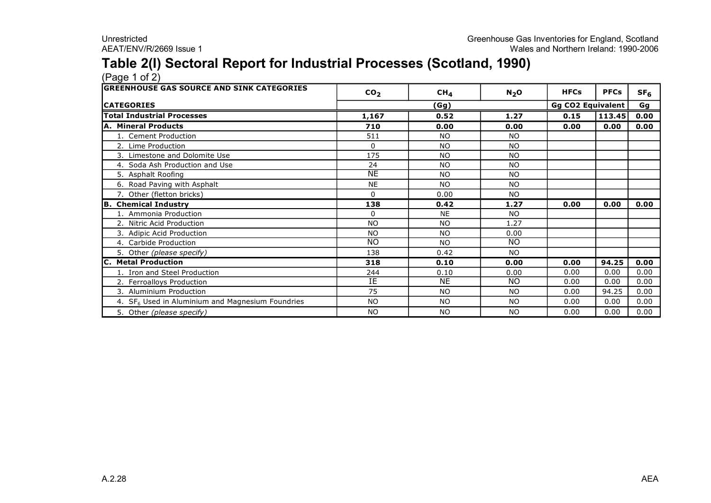### **Table 2(I) Sectoral Report for Industrial Processes (Scotland, 1990)**

| <b>lGREENHOUSE GAS SOURCE AND SINK CATEGORIES</b>  | CO <sub>2</sub> | CH <sub>4</sub> | $N_2$ O        | <b>HFCs</b>              | <b>PFCs</b> | SF <sub>6</sub> |  |    |
|----------------------------------------------------|-----------------|-----------------|----------------|--------------------------|-------------|-----------------|--|----|
| <b>ICATEGORIES</b>                                 |                 | (Gg)            |                | <b>Gg CO2 Equivalent</b> |             |                 |  | Gg |
| <b>Total Industrial Processes</b>                  | 1,167           | 0.52            | 1.27           | 0.15                     | 113.45      | 0.00            |  |    |
| A. Mineral Products                                | 710             | 0.00            | 0.00           | 0.00                     | 0.00        | 0.00            |  |    |
| 1. Cement Production                               | 511             | <b>NO</b>       | <b>NO</b>      |                          |             |                 |  |    |
| 2. Lime Production                                 | $\Omega$        | <b>NO</b>       | <b>NO</b>      |                          |             |                 |  |    |
| 3. Limestone and Dolomite Use                      | 175             | <b>NO</b>       | <b>NO</b>      |                          |             |                 |  |    |
| 4. Soda Ash Production and Use                     | 24              | <b>NO</b>       | <b>NO</b>      |                          |             |                 |  |    |
| 5. Asphalt Roofing                                 | <b>NE</b>       | <b>NO</b>       | <b>NO</b>      |                          |             |                 |  |    |
| 6. Road Paving with Asphalt                        | <b>NE</b>       | <b>NO</b>       | NO             |                          |             |                 |  |    |
| 7. Other (fletton bricks)                          | $\Omega$        | 0.00            | <b>NO</b>      |                          |             |                 |  |    |
| <b>B. Chemical Industry</b>                        | 138             | 0.42            | 1.27           | 0.00                     | 0.00        | 0.00            |  |    |
| 1. Ammonia Production                              | 0               | <b>NE</b>       | <b>NO</b>      |                          |             |                 |  |    |
| 2. Nitric Acid Production                          | <b>NO</b>       | <b>NO</b>       | 1.27           |                          |             |                 |  |    |
| 3. Adipic Acid Production                          | <b>NO</b>       | <b>NO</b>       | 0.00           |                          |             |                 |  |    |
| 4. Carbide Production                              | <b>NO</b>       | <b>NO</b>       | <b>NO</b>      |                          |             |                 |  |    |
| 5. Other (please specify)                          | 138             | 0.42            | <b>NO</b>      |                          |             |                 |  |    |
| <b>C. Metal Production</b>                         | 318             | 0.10            | 0.00           | 0.00                     | 94.25       | 0.00            |  |    |
| 1. Iron and Steel Production                       | 244             | 0.10            | 0.00           | 0.00                     | 0.00        | 0.00            |  |    |
| 2. Ferroalloys Production                          | ΙE              | <b>NE</b>       | <b>NO</b>      | 0.00                     | 0.00        | 0.00            |  |    |
| 3. Aluminium Production                            | 75              | <b>NO</b>       | N <sub>O</sub> | 0.00                     | 94.25       | 0.00            |  |    |
| 4. $SF6$ Used in Aluminium and Magnesium Foundries | <b>NO</b>       | <b>NO</b>       | <b>NO</b>      | 0.00                     | 0.00        | 0.00            |  |    |
| 5. Other (please specify)                          | <b>NO</b>       | <b>NO</b>       | <b>NO</b>      | 0.00                     | 0.00        | 0.00            |  |    |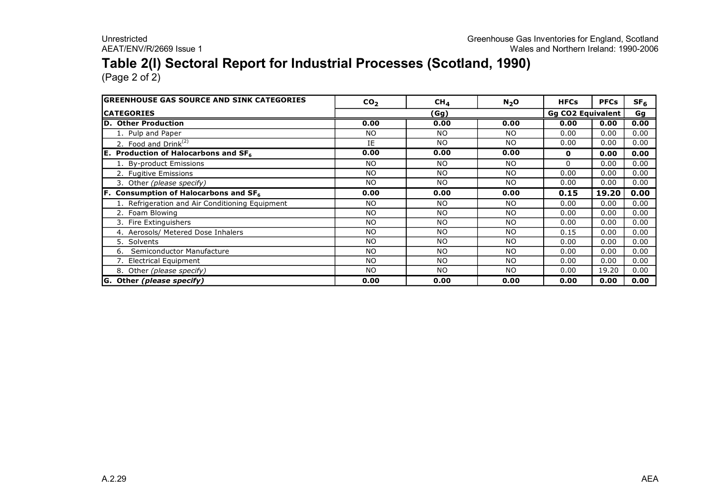# **Table 2(I) Sectoral Report for Industrial Processes (Scotland, 1990)**

| <b>IGREENHOUSE GAS SOURCE AND SINK CATEGORIES</b> | CO <sub>2</sub> | CH <sub>4</sub> | $N_2$ O   | <b>HFCs</b>              | <b>PFCs</b> | SF <sub>6</sub> |
|---------------------------------------------------|-----------------|-----------------|-----------|--------------------------|-------------|-----------------|
| <b>ICATEGORIES</b>                                |                 | (Gg)            |           | <b>Gg CO2 Equivalent</b> |             | Gg              |
| <b>ID. Other Production</b>                       | 0.00            | 0.00            | 0.00      | 0.00                     | 0.00        | 0.00            |
| 1. Pulp and Paper                                 | <b>NO</b>       | <b>NO</b>       | <b>NO</b> | 0.00                     | 0.00        | 0.00            |
| 2. Food and Drink $(2)$                           | IE              | N <sub>O</sub>  | <b>NO</b> | 0.00                     | 0.00        | 0.00            |
| <b>E.</b> Production of Halocarbons and $SF6$     | 0.00            | 0.00            | 0.00      | $\mathbf{0}$             | 0.00        | 0.00            |
| 1. By-product Emissions                           | NO              | N <sub>O</sub>  | <b>NO</b> | 0                        | 0.00        | 0.00            |
| 2. Fugitive Emissions                             | <b>NO</b>       | <b>NO</b>       | <b>NO</b> | 0.00                     | 0.00        | 0.00            |
| 3. Other (please specify)                         | NO.             | NO.             | <b>NO</b> | 0.00                     | 0.00        | 0.00            |
| <b>F.</b> Consumption of Halocarbons and $SF6$    | 0.00            | 0.00            | 0.00      | 0.15                     | 19.20       | 0.00            |
| 1. Refrigeration and Air Conditioning Equipment   | NO              | <b>NO</b>       | <b>NO</b> | 0.00                     | 0.00        | 0.00            |
| 2. Foam Blowing                                   | <b>NO</b>       | NO.             | <b>NO</b> | 0.00                     | 0.00        | 0.00            |
| Fire Extinguishers                                | <b>NO</b>       | N <sub>O</sub>  | NO        | 0.00                     | 0.00        | 0.00            |
| 4. Aerosols/ Metered Dose Inhalers                | <b>NO</b>       | <b>NO</b>       | <b>NO</b> | 0.15                     | 0.00        | 0.00            |
| 5. Solvents                                       | NO              | NO.             | <b>NO</b> | 0.00                     | 0.00        | 0.00            |
| Semiconductor Manufacture<br>6.                   | <b>NO</b>       | <b>NO</b>       | <b>NO</b> | 0.00                     | 0.00        | 0.00            |
| 7. Electrical Equipment                           | NO              | N <sub>O</sub>  | <b>NO</b> | 0.00                     | 0.00        | 0.00            |
| 8. Other (please specify)                         | <b>NO</b>       | <b>NO</b>       | <b>NO</b> | 0.00                     | 19.20       | 0.00            |
| G. Other (please specify)                         | 0.00            | 0.00            | 0.00      | 0.00                     | 0.00        | 0.00            |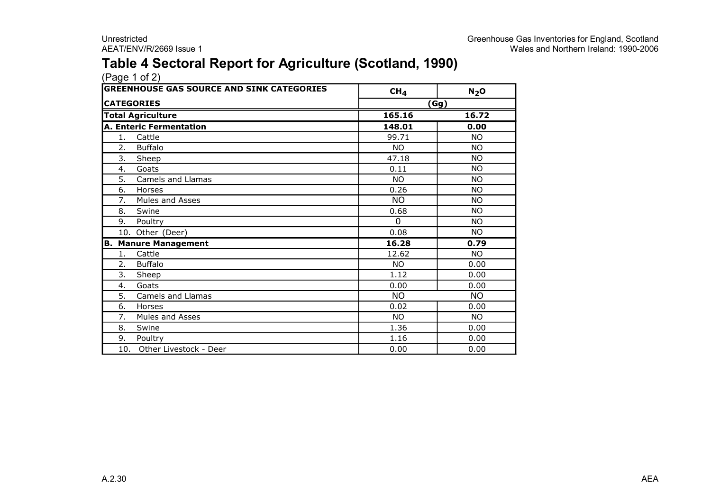### **Table 4 Sectoral Report for Agriculture (Scotland, 1990)**

| <b>GREENHOUSE GAS SOURCE AND SINK CATEGORIES</b> |                                | CH <sub>4</sub> | $N_2$ O   |  |  |
|--------------------------------------------------|--------------------------------|-----------------|-----------|--|--|
|                                                  | <b>CATEGORIES</b>              | (Gg)            |           |  |  |
|                                                  | <b>Total Agriculture</b>       | 165.16          | 16.72     |  |  |
|                                                  | <b>A. Enteric Fermentation</b> | 148.01          | 0.00      |  |  |
| 1.                                               | Cattle                         | 99.71           | <b>NO</b> |  |  |
| 2.                                               | <b>Buffalo</b>                 | <b>NO</b>       | <b>NO</b> |  |  |
| 3.                                               | Sheep                          | 47.18           | <b>NO</b> |  |  |
| 4.                                               | Goats                          | 0.11            | <b>NO</b> |  |  |
| 5.                                               | Camels and Llamas              | <b>NO</b>       | <b>NO</b> |  |  |
| 6.                                               | Horses                         | 0.26            | <b>NO</b> |  |  |
| 7.                                               | Mules and Asses                | <b>NO</b>       | <b>NO</b> |  |  |
| 8.                                               | Swine                          | 0.68            | <b>NO</b> |  |  |
| 9.                                               | Poultry                        | 0               | <b>NO</b> |  |  |
|                                                  | 10. Other (Deer)               | 0.08            | <b>NO</b> |  |  |
| в.                                               | <b>Manure Management</b>       | 16.28           | 0.79      |  |  |
| 1.                                               | Cattle                         | 12.62           | <b>NO</b> |  |  |
| 2.                                               | <b>Buffalo</b>                 | NO.             | 0.00      |  |  |
| 3.                                               | Sheep                          | 1.12            | 0.00      |  |  |
| 4.                                               | Goats                          | 0.00            | 0.00      |  |  |
| 5.                                               | Camels and Llamas              | <b>NO</b>       | <b>NO</b> |  |  |
| 6.                                               | Horses                         | 0.02            | 0.00      |  |  |
| 7.                                               | Mules and Asses                | <b>NO</b>       | <b>NO</b> |  |  |
| 8.                                               | Swine                          | 1.36            | 0.00      |  |  |
| 9.                                               | Poultry                        | 1.16            | 0.00      |  |  |
|                                                  | 10. Other Livestock - Deer     | 0.00            | 0.00      |  |  |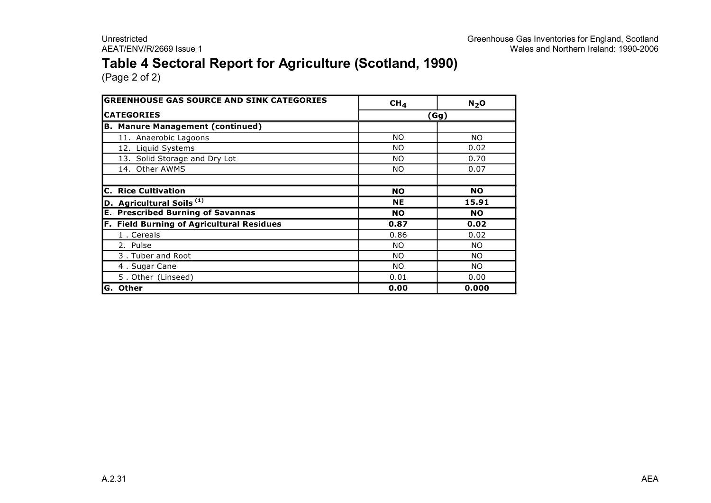### **Table 4 Sectoral Report for Agriculture (Scotland, 1990)**

| <b>GREENHOUSE GAS SOURCE AND SINK CATEGORIES</b> | CH <sub>4</sub> | $N_2$ O         |
|--------------------------------------------------|-----------------|-----------------|
| <b>CATEGORIES</b>                                |                 | $\mathsf{(Gg)}$ |
| <b>B. Manure Management (continued)</b>          |                 |                 |
| 11. Anaerobic Lagoons                            | <b>NO</b>       | NO.             |
| 12. Liquid Systems                               | <b>NO</b>       | 0.02            |
| 13. Solid Storage and Dry Lot                    | <b>NO</b>       | 0.70            |
| 14. Other AWMS                                   | <b>NO</b>       | 0.07            |
|                                                  |                 |                 |
| <b>C. Rice Cultivation</b>                       | <b>NO</b>       | <b>NO</b>       |
| D. Agricultural Soils <sup>(1)</sup>             | <b>NE</b>       | 15.91           |
| <b>E. Prescribed Burning of Savannas</b>         | <b>NO</b>       | <b>NO</b>       |
| <b>F. Field Burning of Agricultural Residues</b> | 0.87            | 0.02            |
| 1. Cereals                                       | 0.86            | 0.02            |
| 2. Pulse                                         | NO.             | NO.             |
| 3. Tuber and Root                                | NO.             | NO.             |
| 4. Sugar Cane                                    | NO.             | NO.             |
| 5. Other (Linseed)                               | 0.01            | 0.00            |
| <b>Other</b><br>G.                               | 0.00            | 0.000           |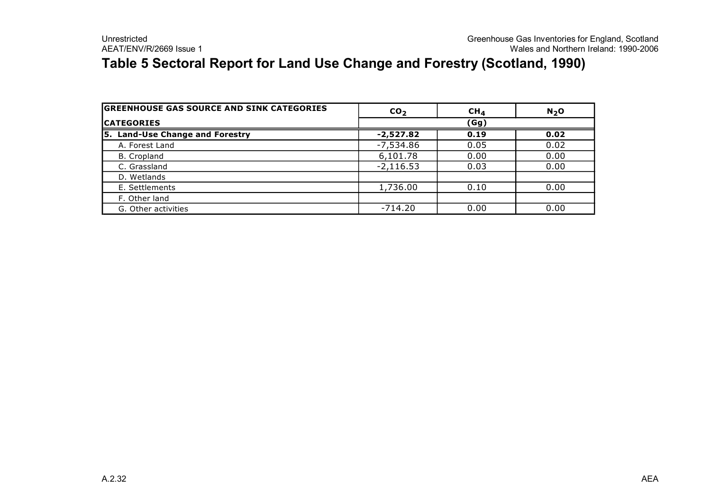### **Table 5 Sectoral Report for Land Use Change and Forestry (Scotland, 1990)**

| <b>GREENHOUSE GAS SOURCE AND SINK CATEGORIES</b> | CO <sub>2</sub> | CH <sub>4</sub> | N <sub>2</sub> O |  |  |
|--------------------------------------------------|-----------------|-----------------|------------------|--|--|
| <b>ICATEGORIES</b>                               | (Gg)            |                 |                  |  |  |
| 5. Land-Use Change and Forestry                  | $-2,527.82$     | 0.19            | 0.02             |  |  |
| A. Forest Land                                   | $-7,534.86$     | 0.05            | 0.02             |  |  |
| B. Cropland                                      | 6,101.78        | 0.00            | 0.00             |  |  |
| C. Grassland                                     | $-2,116.53$     | 0.03            | 0.00             |  |  |
| D. Wetlands                                      |                 |                 |                  |  |  |
| E. Settlements                                   | 1,736.00        | 0.10            | 0.00             |  |  |
| F. Other land                                    |                 |                 |                  |  |  |
| G. Other activities                              | $-714.20$       | 0.00            | 0.00             |  |  |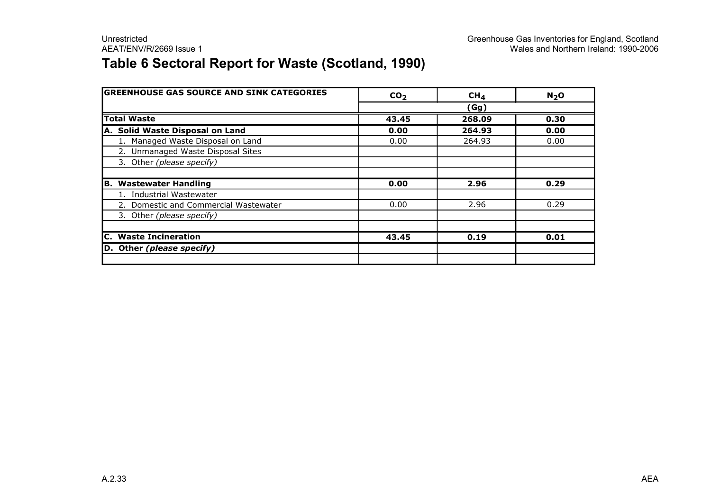### **Table 6 Sectoral Report for Waste (Scotland, 1990)**

| <b>GREENHOUSE GAS SOURCE AND SINK CATEGORIES</b> | CO <sub>2</sub> | CH <sub>4</sub> | N <sub>2</sub> O |
|--------------------------------------------------|-----------------|-----------------|------------------|
|                                                  |                 | (Gg)            |                  |
| <b>Total Waste</b>                               | 43.45           | 268.09          | 0.30             |
| A. Solid Waste Disposal on Land                  | 0.00            | 264.93          | 0.00             |
| 1. Managed Waste Disposal on Land                | 0.00            | 264.93          | 0.00             |
| 2. Unmanaged Waste Disposal Sites                |                 |                 |                  |
| 3. Other (please specify)                        |                 |                 |                  |
|                                                  |                 |                 |                  |
| <b>Wastewater Handling</b><br>В.                 | 0.00            | 2.96            | 0.29             |
| 1. Industrial Wastewater                         |                 |                 |                  |
| 2. Domestic and Commercial Wastewater            | 0.00            | 2.96            | 0.29             |
| 3. Other (please specify)                        |                 |                 |                  |
|                                                  |                 |                 |                  |
| <b>C.</b> Waste Incineration                     | 43.45           | 0.19            | 0.01             |
| D. Other (please specify)                        |                 |                 |                  |
|                                                  |                 |                 |                  |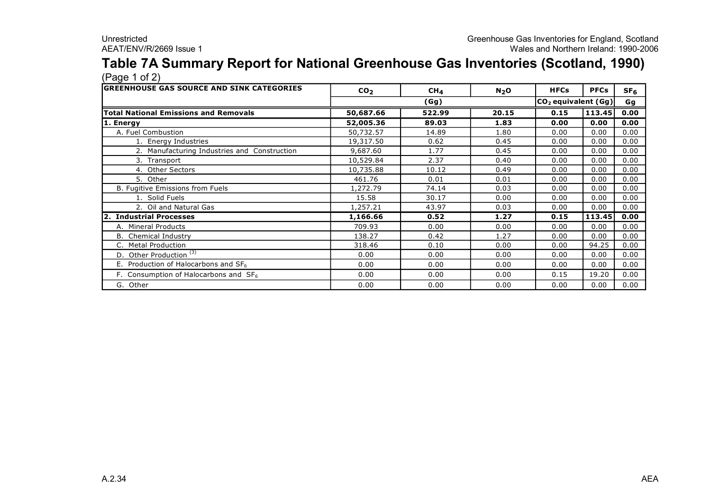#### **Table 7A Summary Report for National Greenhouse Gas Inventories (Scotland, 1990)** (Page 1 of 2)

| <b>GREENHOUSE GAS SOURCE AND SINK CATEGORIES</b> | CO <sub>2</sub> | CH <sub>4</sub> | $N_2$ O | <b>HFCs</b> | <b>PFCs</b>             | SF <sub>6</sub> |  |
|--------------------------------------------------|-----------------|-----------------|---------|-------------|-------------------------|-----------------|--|
|                                                  |                 | (Gg)            |         |             | $ CO_2$ equivalent (Gg) |                 |  |
| Total National Emissions and Removals            | 50,687.66       | 522.99          | 20.15   | 0.15        | 113.45                  | 0.00            |  |
| 1. Energy                                        | 52,005.36       | 89.03           | 1.83    | 0.00        | 0.00                    | 0.00            |  |
| A. Fuel Combustion                               | 50,732.57       | 14.89           | 1.80    | 0.00        | 0.00                    | 0.00            |  |
| 1. Energy Industries                             | 19,317.50       | 0.62            | 0.45    | 0.00        | 0.00                    | 0.00            |  |
| 2. Manufacturing Industries and Construction     | 9,687.60        | 1.77            | 0.45    | 0.00        | 0.00                    | 0.00            |  |
| 3. Transport                                     | 10,529.84       | 2.37            | 0.40    | 0.00        | 0.00                    | 0.00            |  |
| 4. Other Sectors                                 | 10,735.88       | 10.12           | 0.49    | 0.00        | 0.00                    | 0.00            |  |
| 5. Other                                         | 461.76          | 0.01            | 0.01    | 0.00        | 0.00                    | 0.00            |  |
| B. Fugitive Emissions from Fuels                 | 1,272.79        | 74.14           | 0.03    | 0.00        | 0.00                    | 0.00            |  |
| 1. Solid Fuels                                   | 15.58           | 30.17           | 0.00    | 0.00        | 0.00                    | 0.00            |  |
| 2. Oil and Natural Gas                           | 1,257.21        | 43.97           | 0.03    | 0.00        | 0.00                    | 0.00            |  |
| 2. Industrial Processes                          | 1,166.66        | 0.52            | 1.27    | 0.15        | 113.45                  | 0.00            |  |
| A. Mineral Products                              | 709.93          | 0.00            | 0.00    | 0.00        | 0.00                    | 0.00            |  |
| <b>B.</b> Chemical Industry                      | 138.27          | 0.42            | 1.27    | 0.00        | 0.00                    | 0.00            |  |
| C. Metal Production                              | 318.46          | 0.10            | 0.00    | 0.00        | 94.25                   | 0.00            |  |
| D. Other Production $\overline{^{(3)}}$          | 0.00            | 0.00            | 0.00    | 0.00        | 0.00                    | 0.00            |  |
| E. Production of Halocarbons and $SF_6$          | 0.00            | 0.00            | 0.00    | 0.00        | 0.00                    | 0.00            |  |
| F. Consumption of Halocarbons and $SF6$          | 0.00            | 0.00            | 0.00    | 0.15        | 19.20                   | 0.00            |  |
| G. Other                                         | 0.00            | 0.00            | 0.00    | 0.00        | 0.00                    | 0.00            |  |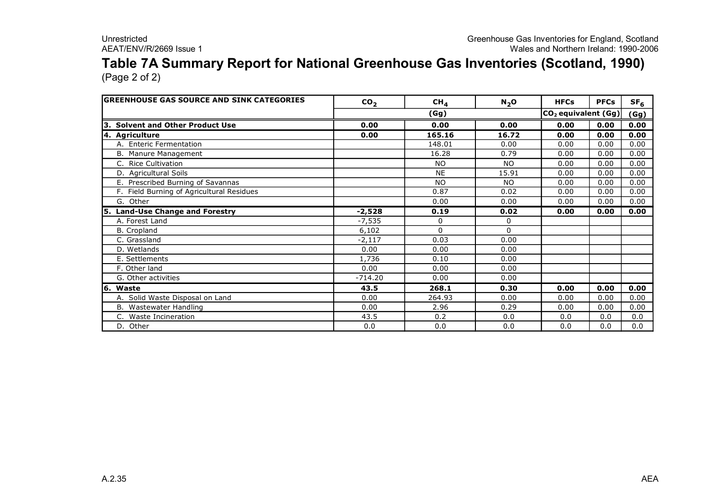### **Table 7A Summary Report for National Greenhouse Gas Inventories (Scotland, 1990)** (Page 2 of 2)

| <b>GREENHOUSE GAS SOURCE AND SINK CATEGORIES</b> | CO <sub>2</sub> | CH <sub>4</sub> | $N_2$ O   | <b>HFCs</b>           | <b>PFCs</b> | SF <sub>6</sub> |
|--------------------------------------------------|-----------------|-----------------|-----------|-----------------------|-------------|-----------------|
|                                                  |                 | (Gg)            |           | $CO2$ equivalent (Gg) | (Gg)        |                 |
| 3. Solvent and Other Product Use                 | 0.00            | 0.00            | 0.00      | 0.00                  | 0.00        | 0.00            |
| 4. Agriculture                                   | 0.00            | 165.16          | 16.72     | 0.00                  | 0.00        | 0.00            |
| A. Enteric Fermentation                          |                 | 148.01          | 0.00      | 0.00                  | 0.00        | 0.00            |
| B. Manure Management                             |                 | 16.28           | 0.79      | 0.00                  | 0.00        | 0.00            |
| <b>Rice Cultivation</b>                          |                 | <b>NO</b>       | <b>NO</b> | 0.00                  | 0.00        | 0.00            |
| D. Agricultural Soils                            |                 | <b>NE</b>       | 15.91     | 0.00                  | 0.00        | 0.00            |
| E. Prescribed Burning of Savannas                |                 | <b>NO</b>       | <b>NO</b> | 0.00                  | 0.00        | 0.00            |
| Field Burning of Agricultural Residues           |                 | 0.87            | 0.02      | 0.00                  | 0.00        | 0.00            |
| G. Other                                         |                 | 0.00            | 0.00      | 0.00                  | 0.00        | 0.00            |
| <b>Land-Use Change and Forestry</b><br>l5.       | $-2,528$        | 0.19            | 0.02      | 0.00                  | 0.00        | 0.00            |
| A. Forest Land                                   | $-7,535$        | 0               | 0         |                       |             |                 |
| B. Cropland                                      | 6,102           | 0               | $\Omega$  |                       |             |                 |
| C. Grassland                                     | $-2,117$        | 0.03            | 0.00      |                       |             |                 |
| D. Wetlands                                      | 0.00            | 0.00            | 0.00      |                       |             |                 |
| E. Settlements                                   | 1,736           | 0.10            | 0.00      |                       |             |                 |
| F. Other land                                    | 0.00            | 0.00            | 0.00      |                       |             |                 |
| G. Other activities                              | $-714.20$       | 0.00            | 0.00      |                       |             |                 |
| 6. Waste                                         | 43.5            | 268.1           | 0.30      | 0.00                  | 0.00        | 0.00            |
| A. Solid Waste Disposal on Land                  | 0.00            | 264.93          | 0.00      | 0.00                  | 0.00        | 0.00            |
| B. Wastewater Handling                           | 0.00            | 2.96            | 0.29      | 0.00                  | 0.00        | 0.00            |
| Waste Incineration                               | 43.5            | 0.2             | 0.0       | 0.0                   | 0.0         | 0.0             |
| D. Other                                         | 0.0             | 0.0             | 0.0       | 0.0                   | 0.0         | 0.0             |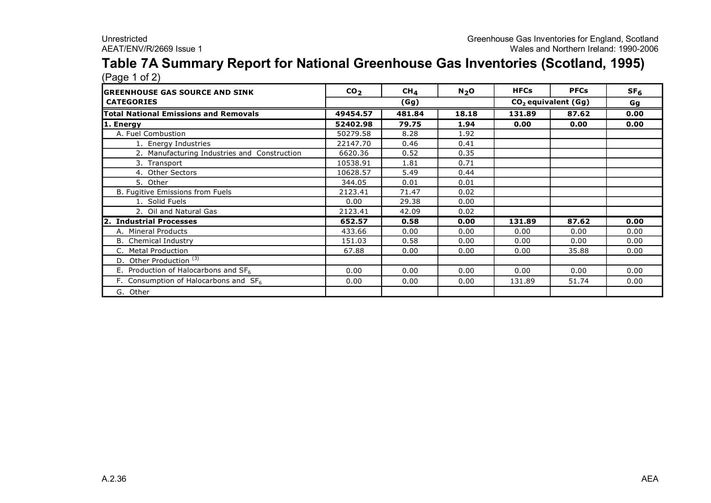#### **Table 7A Summary Report for National Greenhouse Gas Inventories (Scotland, 1995)** (Page 1 of 2)

| $(1.490 + 0.4)$<br><b>IGREENHOUSE GAS SOURCE AND SINK</b> | CO <sub>2</sub> | $CH_{4}$ | N <sub>2</sub> O | <b>HFCs</b> | <b>PFCs</b>                     | SF <sub>6</sub> |
|-----------------------------------------------------------|-----------------|----------|------------------|-------------|---------------------------------|-----------------|
| <b>CATEGORIES</b>                                         |                 | (Gg)     |                  |             | CO <sub>2</sub> equivalent (Gg) | Gg              |
| Total National Emissions and Removals                     | 49454.57        | 481.84   | 18.18            | 131.89      | 87.62                           | 0.00            |
| 1. Energy                                                 | 52402.98        | 79.75    | 1.94             | 0.00        | 0.00                            | 0.00            |
| A. Fuel Combustion                                        | 50279.58        | 8.28     | 1.92             |             |                                 |                 |
| 1. Energy Industries                                      | 22147.70        | 0.46     | 0.41             |             |                                 |                 |
| 2. Manufacturing Industries and Construction              | 6620.36         | 0.52     | 0.35             |             |                                 |                 |
| 3. Transport                                              | 10538.91        | 1.81     | 0.71             |             |                                 |                 |
| 4. Other Sectors                                          | 10628.57        | 5.49     | 0.44             |             |                                 |                 |
| 5. Other                                                  | 344.05          | 0.01     | 0.01             |             |                                 |                 |
| B. Fugitive Emissions from Fuels                          | 2123.41         | 71.47    | 0.02             |             |                                 |                 |
| 1. Solid Fuels                                            | 0.00            | 29.38    | 0.00             |             |                                 |                 |
| 2. Oil and Natural Gas                                    | 2123.41         | 42.09    | 0.02             |             |                                 |                 |
| 2. Industrial Processes                                   | 652.57          | 0.58     | 0.00             | 131.89      | 87.62                           | 0.00            |
| A. Mineral Products                                       | 433.66          | 0.00     | 0.00             | 0.00        | 0.00                            | 0.00            |
| <b>B.</b> Chemical Industry                               | 151.03          | 0.58     | 0.00             | 0.00        | 0.00                            | 0.00            |
| C. Metal Production                                       | 67.88           | 0.00     | 0.00             | 0.00        | 35.88                           | 0.00            |
| D. Other Production <sup>(3)</sup>                        |                 |          |                  |             |                                 |                 |
| E. Production of Halocarbons and $SF6$                    | 0.00            | 0.00     | 0.00             | 0.00        | 0.00                            | 0.00            |
| F. Consumption of Halocarbons and $SF6$                   | 0.00            | 0.00     | 0.00             | 131.89      | 51.74                           | 0.00            |
| G. Other                                                  |                 |          |                  |             |                                 |                 |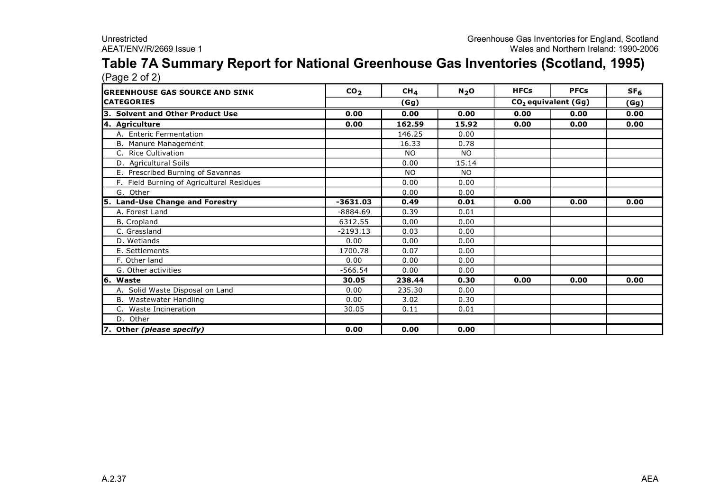#### **Table 7A Summary Report for National Greenhouse Gas Inventories (Scotland, 1995)** (Page 2 of 2)

| <b>IGREENHOUSE GAS SOURCE AND SINK</b>    | CO <sub>2</sub> | CH <sub>4</sub> | N <sub>2</sub> O | <b>HFCs</b> | <b>PFCs</b>                     | SF <sub>6</sub> |
|-------------------------------------------|-----------------|-----------------|------------------|-------------|---------------------------------|-----------------|
| <b>CATEGORIES</b>                         |                 | (Gg)            |                  |             | CO <sub>2</sub> equivalent (Gg) | (Gg)            |
| 3. Solvent and Other Product Use          | 0.00            | 0.00            | 0.00             | 0.00        | 0.00                            | 0.00            |
| 4. Agriculture                            | 0.00            | 162.59          | 15.92            | 0.00        | 0.00                            | 0.00            |
| A. Enteric Fermentation                   |                 | 146.25          | 0.00             |             |                                 |                 |
| B. Manure Management                      |                 | 16.33           | 0.78             |             |                                 |                 |
| C. Rice Cultivation                       |                 | <b>NO</b>       | <b>NO</b>        |             |                                 |                 |
| D. Agricultural Soils                     |                 | 0.00            | 15.14            |             |                                 |                 |
| E. Prescribed Burning of Savannas         |                 | <b>NO</b>       | NO.              |             |                                 |                 |
| F. Field Burning of Agricultural Residues |                 | 0.00            | 0.00             |             |                                 |                 |
| G. Other                                  |                 | 0.00            | 0.00             |             |                                 |                 |
| 5. Land-Use Change and Forestry           | $-3631.03$      | 0.49            | 0.01             | 0.00        | 0.00                            | 0.00            |
| A. Forest Land                            | $-8884.69$      | 0.39            | 0.01             |             |                                 |                 |
| <b>B.</b> Cropland                        | 6312.55         | 0.00            | 0.00             |             |                                 |                 |
| C. Grassland                              | $-2193.13$      | 0.03            | 0.00             |             |                                 |                 |
| D. Wetlands                               | 0.00            | 0.00            | 0.00             |             |                                 |                 |
| E. Settlements                            | 1700.78         | 0.07            | 0.00             |             |                                 |                 |
| F. Other land                             | 0.00            | 0.00            | 0.00             |             |                                 |                 |
| G. Other activities                       | $-566.54$       | 0.00            | 0.00             |             |                                 |                 |
| 6. Waste                                  | 30.05           | 238.44          | 0.30             | 0.00        | 0.00                            | 0.00            |
| A. Solid Waste Disposal on Land           | 0.00            | 235.30          | 0.00             |             |                                 |                 |
| B. Wastewater Handling                    | 0.00            | 3.02            | 0.30             |             |                                 |                 |
| C. Waste Incineration                     | 30.05           | 0.11            | 0.01             |             |                                 |                 |
| D. Other                                  |                 |                 |                  |             |                                 |                 |
| 7. Other (please specify)                 | 0.00            | 0.00            | 0.00             |             |                                 |                 |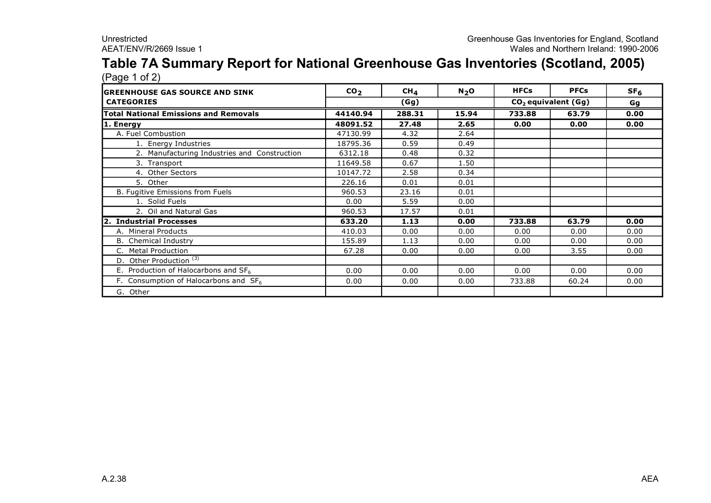#### **Table 7A Summary Report for National Greenhouse Gas Inventories (Scotland, 2005)** (Page 1 of 2)

| , כי כי ה<br><b>IGREENHOUSE GAS SOURCE AND SINK</b> | CO <sub>2</sub> | CH <sub>4</sub> | N <sub>2</sub> O | <b>HFCs</b>                     | <b>PFCs</b> | SF <sub>6</sub> |
|-----------------------------------------------------|-----------------|-----------------|------------------|---------------------------------|-------------|-----------------|
| <b>CATEGORIES</b>                                   |                 | (Gg)            |                  | CO <sub>2</sub> equivalent (Gg) |             | Gg              |
| <b>Total National Emissions and Removals</b>        | 44140.94        | 288.31          | 15.94            | 733.88                          | 63.79       | 0.00            |
| 1. Energy                                           | 48091.52        | 27.48           | 2.65             | 0.00                            | 0.00        | 0.00            |
| A. Fuel Combustion                                  | 47130.99        | 4.32            | 2.64             |                                 |             |                 |
| 1. Energy Industries                                | 18795.36        | 0.59            | 0.49             |                                 |             |                 |
| 2. Manufacturing Industries and Construction        | 6312.18         | 0.48            | 0.32             |                                 |             |                 |
| 3. Transport                                        | 11649.58        | 0.67            | 1.50             |                                 |             |                 |
| 4. Other Sectors                                    | 10147.72        | 2.58            | 0.34             |                                 |             |                 |
| 5. Other                                            | 226.16          | 0.01            | 0.01             |                                 |             |                 |
| B. Fugitive Emissions from Fuels                    | 960.53          | 23.16           | 0.01             |                                 |             |                 |
| 1. Solid Fuels                                      | 0.00            | 5.59            | 0.00             |                                 |             |                 |
| 2. Oil and Natural Gas                              | 960.53          | 17.57           | 0.01             |                                 |             |                 |
| 2. Industrial Processes                             | 633.20          | 1.13            | 0.00             | 733.88                          | 63.79       | 0.00            |
| A. Mineral Products                                 | 410.03          | 0.00            | 0.00             | 0.00                            | 0.00        | 0.00            |
| <b>B.</b> Chemical Industry                         | 155.89          | 1.13            | 0.00             | 0.00                            | 0.00        | 0.00            |
| C. Metal Production                                 | 67.28           | 0.00            | 0.00             | 0.00                            | 3.55        | 0.00            |
| D. Other Production $(3)$                           |                 |                 |                  |                                 |             |                 |
| E. Production of Halocarbons and $SF6$              | 0.00            | 0.00            | 0.00             | 0.00                            | 0.00        | 0.00            |
| F. Consumption of Halocarbons and $SF6$             | 0.00            | 0.00            | 0.00             | 733.88                          | 60.24       | 0.00            |
| G. Other                                            |                 |                 |                  |                                 |             |                 |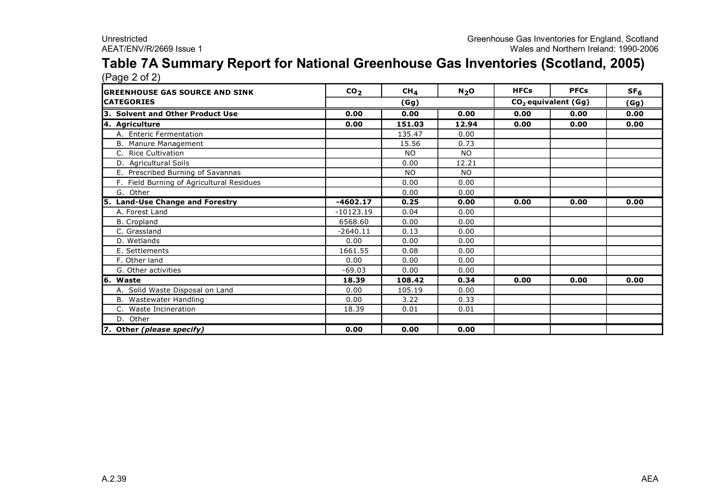#### **Table 7A Summary Report for National Greenhouse Gas Inventories (Scotland, 2005)** (Page 2 of 2)

| <b>GREENHOUSE GAS SOURCE AND SINK</b>     | CO <sub>2</sub> | CH <sub>4</sub> | $N_2$ O                         | <b>HFCs</b> | <b>PFCs</b> | SF <sub>6</sub> |
|-------------------------------------------|-----------------|-----------------|---------------------------------|-------------|-------------|-----------------|
| <b>CATEGORIES</b>                         | (Gg)            |                 | CO <sub>2</sub> equivalent (Gg) |             |             | (Gg)            |
| 3. Solvent and Other Product Use          | 0.00            | 0.00            | 0.00                            | 0.00        | 0.00        | 0.00            |
| 4. Agriculture                            | 0.00            | 151.03          | 12.94                           | 0.00        | 0.00        | 0.00            |
| A. Enteric Fermentation                   |                 | 135.47          | 0.00                            |             |             |                 |
| B. Manure Management                      |                 | 15.56           | 0.73                            |             |             |                 |
| C. Rice Cultivation                       |                 | <b>NO</b>       | <b>NO</b>                       |             |             |                 |
| D. Agricultural Soils                     |                 | 0.00            | 12.21                           |             |             |                 |
| E. Prescribed Burning of Savannas         |                 | <b>NO</b>       | NO.                             |             |             |                 |
| F. Field Burning of Agricultural Residues |                 | 0.00            | 0.00                            |             |             |                 |
| G. Other                                  |                 | 0.00            | 0.00                            |             |             |                 |
| 5. Land-Use Change and Forestry           | $-4602.17$      | 0.25            | 0.00                            | 0.00        | 0.00        | 0.00            |
| A. Forest Land                            | $-10123.19$     | 0.04            | 0.00                            |             |             |                 |
| <b>B.</b> Cropland                        | 6568.60         | 0.00            | 0.00                            |             |             |                 |
| C. Grassland                              | $-2640.11$      | 0.13            | 0.00                            |             |             |                 |
| D. Wetlands                               | 0.00            | 0.00            | 0.00                            |             |             |                 |
| E. Settlements                            | 1661.55         | 0.08            | 0.00                            |             |             |                 |
| F. Other land                             | 0.00            | 0.00            | 0.00                            |             |             |                 |
| G. Other activities                       | $-69.03$        | 0.00            | 0.00                            |             |             |                 |
| 6. Waste                                  | 18.39           | 108.42          | 0.34                            | 0.00        | 0.00        | 0.00            |
| A. Solid Waste Disposal on Land           | 0.00            | 105.19          | 0.00                            |             |             |                 |
| <b>B.</b> Wastewater Handling             | 0.00            | 3.22            | 0.33                            |             |             |                 |
| C. Waste Incineration                     | 18.39           | 0.01            | 0.01                            |             |             |                 |
| D. Other                                  |                 |                 |                                 |             |             |                 |
| 7. Other (please specify)                 | 0.00            | 0.00            | 0.00                            |             |             |                 |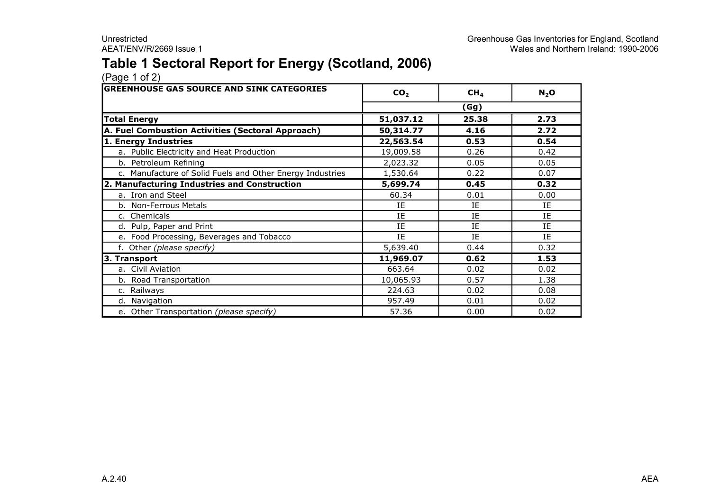### **Table 1 Sectoral Report for Energy (Scotland, 2006)**

| <b>GREENHOUSE GAS SOURCE AND SINK CATEGORIES</b>          | CO <sub>2</sub> | CH <sub>4</sub> | $N_2$ O |
|-----------------------------------------------------------|-----------------|-----------------|---------|
|                                                           |                 | (Gg)            |         |
| <b>Total Energy</b>                                       | 51,037.12       | 25.38           | 2.73    |
| A. Fuel Combustion Activities (Sectoral Approach)         | 50,314.77       | 4.16            | 2.72    |
| 1. Energy Industries                                      | 22,563.54       | 0.53            | 0.54    |
| a. Public Electricity and Heat Production                 | 19,009.58       | 0.26            | 0.42    |
| b. Petroleum Refining                                     | 2,023.32        | 0.05            | 0.05    |
| c. Manufacture of Solid Fuels and Other Energy Industries | 1,530.64        | 0.22            | 0.07    |
| 2. Manufacturing Industries and Construction              | 5,699.74        | 0.45            | 0.32    |
| a. Iron and Steel                                         | 60.34           | 0.01            | 0.00    |
| b. Non-Ferrous Metals                                     | IE              | IE              | IE      |
| c. Chemicals                                              | IE              | IE              | IE      |
| d. Pulp, Paper and Print                                  | IE              | IE              | IE      |
| e. Food Processing, Beverages and Tobacco                 | IE              | ΙE              | IE      |
| f. Other (please specify)                                 | 5,639.40        | 0.44            | 0.32    |
| 3. Transport                                              | 11,969.07       | 0.62            | 1.53    |
| a. Civil Aviation                                         | 663.64          | 0.02            | 0.02    |
| b. Road Transportation                                    | 10,065.93       | 0.57            | 1.38    |
| c. Railways                                               | 224.63          | 0.02            | 0.08    |
| d. Navigation                                             | 957.49          | 0.01            | 0.02    |
| e. Other Transportation (please specify)                  | 57.36           | 0.00            | 0.02    |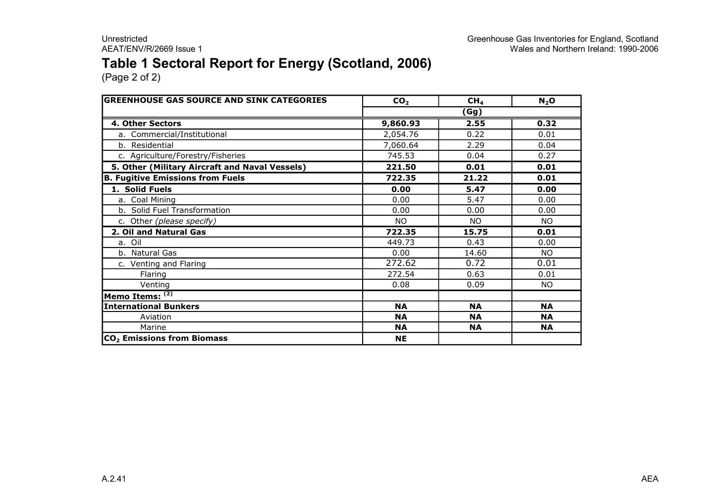### **Table 1 Sectoral Report for Energy (Scotland, 2006)**

| <b>GREENHOUSE GAS SOURCE AND SINK CATEGORIES</b> | CO <sub>2</sub> | CH <sub>4</sub> | $N_2$ O   |  |  |
|--------------------------------------------------|-----------------|-----------------|-----------|--|--|
|                                                  | (Gg)            |                 |           |  |  |
| <b>4. Other Sectors</b>                          | 9,860.93        | 2.55            | 0.32      |  |  |
| a. Commercial/Institutional                      | 2,054.76        | 0.22            | 0.01      |  |  |
| b. Residential                                   | 7,060.64        | 2.29            | 0.04      |  |  |
| c. Agriculture/Forestry/Fisheries                | 745.53          | 0.04            | 0.27      |  |  |
| 5. Other (Military Aircraft and Naval Vessels)   | 221.50          | 0.01            | 0.01      |  |  |
| <b>B. Fugitive Emissions from Fuels</b>          | 722.35          | 21.22           | 0.01      |  |  |
| 1. Solid Fuels                                   | 0.00            | 5.47            | 0.00      |  |  |
| a. Coal Mining                                   | 0.00            | 5.47            | 0.00      |  |  |
| b. Solid Fuel Transformation                     | 0.00            | 0.00            | 0.00      |  |  |
| c. Other (please specify)                        | <b>NO</b>       | <b>NO</b>       | <b>NO</b> |  |  |
| 2. Oil and Natural Gas                           | 722.35          | 15.75           | 0.01      |  |  |
| a. Oil                                           | 449.73          | 0.43            | 0.00      |  |  |
| b. Natural Gas                                   | 0.00            | 14.60           | <b>NO</b> |  |  |
| c. Venting and Flaring                           | 272.62          | 0.72            | 0.01      |  |  |
| Flaring                                          | 272.54          | 0.63            | 0.01      |  |  |
| Venting                                          | 0.08            | 0.09            | NO.       |  |  |
| Memo Items: (2)                                  |                 |                 |           |  |  |
| <b>International Bunkers</b>                     | <b>NA</b>       | <b>NA</b>       | <b>NA</b> |  |  |
| Aviation                                         | <b>NA</b>       | <b>NA</b>       | <b>NA</b> |  |  |
| Marine                                           | <b>NA</b>       | <b>NA</b>       | <b>NA</b> |  |  |
| CO <sub>2</sub> Emissions from Biomass           | <b>NE</b>       |                 |           |  |  |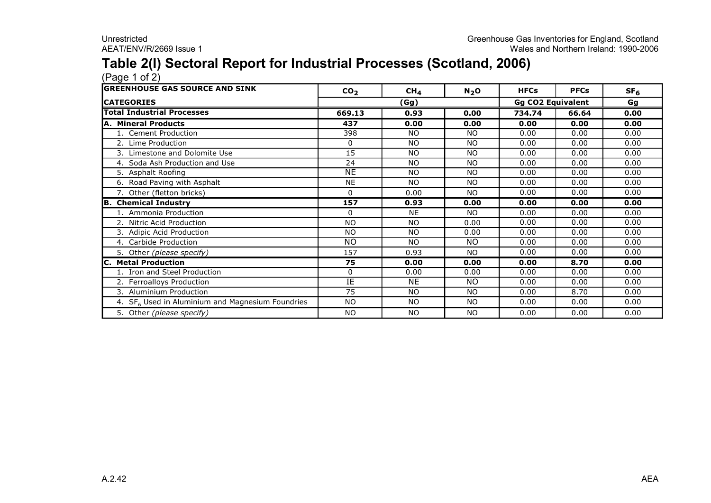### **Table 2(I) Sectoral Report for Industrial Processes (Scotland, 2006)**

| <b>GREENHOUSE GAS SOURCE AND SINK</b>              | CO <sub>2</sub> | CH <sub>4</sub> | $N_2$ O   | <b>HFCs</b>              | <b>PFCs</b> | SF <sub>6</sub> |
|----------------------------------------------------|-----------------|-----------------|-----------|--------------------------|-------------|-----------------|
| <b>ICATEGORIES</b>                                 |                 | (Gg)            |           | <b>Gg CO2 Equivalent</b> |             | Gg              |
| <b>Total Industrial Processes</b>                  | 669.13          | 0.93            | 0.00      | 734.74                   | 66.64       | 0.00            |
| A. Mineral Products                                | 437             | 0.00            | 0.00      | 0.00                     | 0.00        | 0.00            |
| 1. Cement Production                               | 398             | <b>NO</b>       | NO.       | 0.00                     | 0.00        | 0.00            |
| 2. Lime Production                                 | 0               | <b>NO</b>       | <b>NO</b> | 0.00                     | 0.00        | 0.00            |
| 3. Limestone and Dolomite Use                      | 15              | <b>NO</b>       | NO.       | 0.00                     | 0.00        | 0.00            |
| 4. Soda Ash Production and Use                     | 24              | <b>NO</b>       | <b>NO</b> | 0.00                     | 0.00        | 0.00            |
| Asphalt Roofing<br>5.                              | <b>NE</b>       | <b>NO</b>       | <b>NO</b> | 0.00                     | 0.00        | 0.00            |
| 6. Road Paving with Asphalt                        | <b>NE</b>       | <b>NO</b>       | <b>NO</b> | 0.00                     | 0.00        | 0.00            |
| 7. Other (fletton bricks)                          | $\Omega$        | 0.00            | <b>NO</b> | 0.00                     | 0.00        | 0.00            |
| B. Chemical Industry                               | 157             | 0.93            | 0.00      | 0.00                     | 0.00        | 0.00            |
| 1. Ammonia Production                              | 0               | <b>NE</b>       | NO.       | 0.00                     | 0.00        | 0.00            |
| 2. Nitric Acid Production                          | NO.             | <b>NO</b>       | 0.00      | 0.00                     | 0.00        | 0.00            |
| 3. Adipic Acid Production                          | NO.             | <b>NO</b>       | 0.00      | 0.00                     | 0.00        | 0.00            |
| 4. Carbide Production                              | NO.             | <b>NO</b>       | NO.       | 0.00                     | 0.00        | 0.00            |
| 5. Other (please specify)                          | 157             | 0.93            | NO.       | 0.00                     | 0.00        | 0.00            |
| <b>IC. Metal Production</b>                        | 75              | 0.00            | 0.00      | 0.00                     | 8.70        | 0.00            |
| 1. Iron and Steel Production                       | 0               | 0.00            | 0.00      | 0.00                     | 0.00        | 0.00            |
| 2. Ferroalloys Production                          | IE              | <b>NE</b>       | <b>NO</b> | 0.00                     | 0.00        | 0.00            |
| 3. Aluminium Production                            | 75              | <b>NO</b>       | <b>NO</b> | 0.00                     | 8.70        | 0.00            |
| 4. $SF6$ Used in Aluminium and Magnesium Foundries | NO.             | <b>NO</b>       | NO.       | 0.00                     | 0.00        | 0.00            |
| 5. Other (please specify)                          | NO.             | <b>NO</b>       | <b>NO</b> | 0.00                     | 0.00        | 0.00            |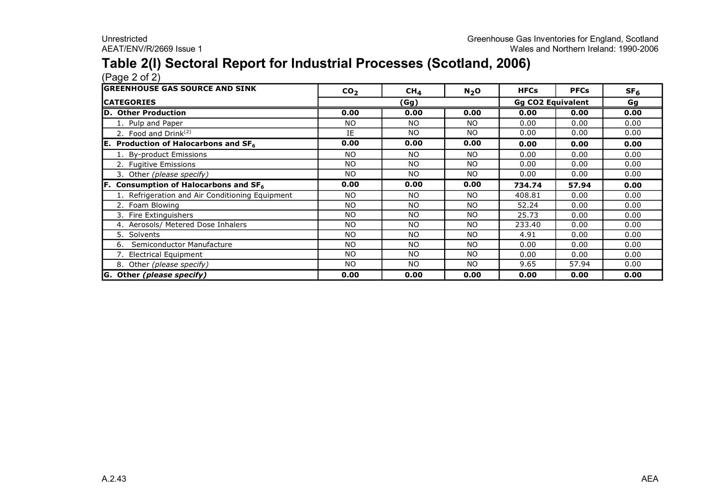## **Table 2(I) Sectoral Report for Industrial Processes (Scotland, 2006)**

| <b>lGREENHOUSE GAS SOURCE AND SINK</b>          | CO <sub>2</sub> | CH <sub>4</sub> | $N_2$ O   | <b>HFCs</b>              | <b>PFCs</b> | SF <sub>6</sub> |
|-------------------------------------------------|-----------------|-----------------|-----------|--------------------------|-------------|-----------------|
| <b>ICATEGORIES</b>                              | (Gg)            |                 |           | <b>Gg CO2 Equivalent</b> |             | Gg              |
| D. Other Production                             | 0.00            | 0.00            | 0.00      | 0.00                     | 0.00        | 0.00            |
| 1. Pulp and Paper                               | NO.             | <b>NO</b>       | NO.       | 0.00                     | 0.00        | 0.00            |
| 2. Food and Drink $(2)$                         | IE              | <b>NO</b>       | <b>NO</b> | 0.00                     | 0.00        | 0.00            |
| <b>E.</b> Production of Halocarbons and $SF6$   | 0.00            | 0.00            | 0.00      | 0.00                     | 0.00        | 0.00            |
| 1. By-product Emissions                         | NO.             | <b>NO</b>       | <b>NO</b> | 0.00                     | 0.00        | 0.00            |
| 2. Fugitive Emissions                           | NO.             | <b>NO</b>       | <b>NO</b> | 0.00                     | 0.00        | 0.00            |
| 3. Other (please specify)                       | NO.             | <b>NO</b>       | <b>NO</b> | 0.00                     | 0.00        | 0.00            |
| Consumption of Halocarbons and SF <sub>6</sub>  | 0.00            | 0.00            | 0.00      | 734.74                   | 57.94       | 0.00            |
| L. Refrigeration and Air Conditioning Equipment | NO.             | N <sub>O</sub>  | NO.       | 408.81                   | 0.00        | 0.00            |
| 2. Foam Blowing                                 | NO.             | N <sub>O</sub>  | <b>NO</b> | 52.24                    | 0.00        | 0.00            |
| 3. Fire Extinguishers                           | NO.             | <b>NO</b>       | <b>NO</b> | 25.73                    | 0.00        | 0.00            |
| 4. Aerosols/ Metered Dose Inhalers              | NO.             | N <sub>O</sub>  | <b>NO</b> | 233.40                   | 0.00        | 0.00            |
| 5. Solvents                                     | NO.             | N <sub>O</sub>  | <b>NO</b> | 4.91                     | 0.00        | 0.00            |
| Semiconductor Manufacture<br>6.                 | NO.             | <b>NO</b>       | <b>NO</b> | 0.00                     | 0.00        | 0.00            |
| 7. Electrical Equipment                         | NO.             | <b>NO</b>       | <b>NO</b> | 0.00                     | 0.00        | 0.00            |
| 8. Other (please specify)                       | NO.             | NO              | NO.       | 9.65                     | 57.94       | 0.00            |
| G. Other (please specify)                       | 0.00            | 0.00            | 0.00      | 0.00                     | 0.00        | 0.00            |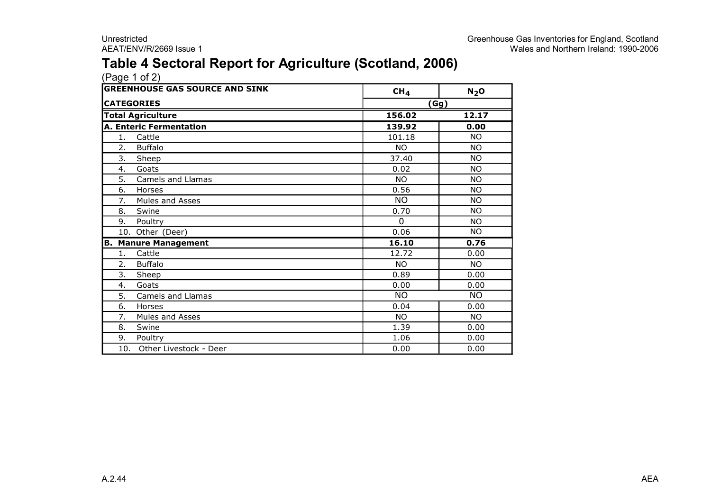### **Table 4 Sectoral Report for Agriculture (Scotland, 2006)**

|     | <b>GREENHOUSE GAS SOURCE AND SINK</b> | CH <sub>4</sub> | $N_2$ O   |
|-----|---------------------------------------|-----------------|-----------|
|     | <b>CATEGORIES</b>                     | (Gg)            |           |
|     | <b>Total Agriculture</b>              | 156.02          | 12.17     |
|     | <b>A. Enteric Fermentation</b>        | 139.92          | 0.00      |
| 1.  | Cattle                                | 101.18          | <b>NO</b> |
| 2.  | <b>Buffalo</b>                        | <b>NO</b>       | <b>NO</b> |
| 3.  | Sheep                                 | 37.40           | <b>NO</b> |
| 4.  | Goats                                 | 0.02            | <b>NO</b> |
| 5.  | Camels and Llamas                     | <b>NO</b>       | <b>NO</b> |
| 6.  | Horses                                | 0.56            | <b>NO</b> |
| 7.  | Mules and Asses                       | NO.             | ΝO        |
| 8.  | Swine                                 | 0.70            | <b>NO</b> |
| 9.  | Poultry                               | $\Omega$        | <b>NO</b> |
|     | 10. Other (Deer)                      | 0.06            | <b>NO</b> |
| В.  | <b>Manure Management</b>              | 16.10           | 0.76      |
| 1.  | Cattle                                | 12.72           | 0.00      |
| 2.  | <b>Buffalo</b>                        | <b>NO</b>       | <b>NO</b> |
| 3.  | Sheep                                 | 0.89            | 0.00      |
| 4.  | Goats                                 | 0.00            | 0.00      |
| 5.  | Camels and Llamas                     | <b>NO</b>       | <b>NO</b> |
| 6.  | Horses                                | 0.04            | 0.00      |
| 7.  | Mules and Asses                       | <b>NO</b>       | <b>NO</b> |
| 8.  | Swine                                 | 1.39            | 0.00      |
| 9.  | Poultry                               | 1.06            | 0.00      |
| 10. | Other Livestock - Deer                | 0.00            | 0.00      |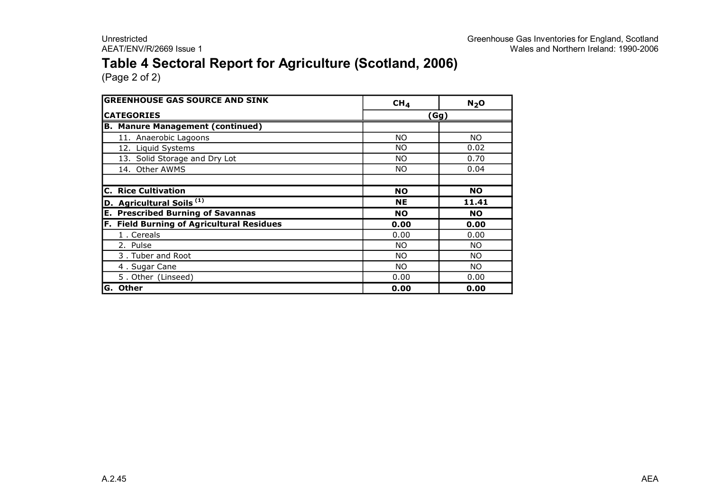### **Table 4 Sectoral Report for Agriculture (Scotland, 2006)**

| <b>GREENHOUSE GAS SOURCE AND SINK</b>               | CH <sub>4</sub> | N <sub>2</sub> O |
|-----------------------------------------------------|-----------------|------------------|
| <b>CATEGORIES</b>                                   |                 | (Gg)             |
| <b>B. Manure Management (continued)</b>             |                 |                  |
| 11. Anaerobic Lagoons                               | NO.             | NO.              |
| 12. Liquid Systems                                  | NO.             | 0.02             |
| 13. Solid Storage and Dry Lot                       | NO.             | 0.70             |
| 14. Other AWMS                                      | NO.             | 0.04             |
|                                                     |                 |                  |
| <b>C. Rice Cultivation</b>                          | <b>NO</b>       | <b>NO</b>        |
| D. Agricultural Soils <sup>(1)</sup>                | <b>NE</b>       | 11.41            |
| <b>Prescribed Burning of Savannas</b><br>Е.         | <b>NO</b>       | <b>NO</b>        |
| <b>Field Burning of Agricultural Residues</b><br>F. | 0.00            | 0.00             |
| 1. Cereals                                          | 0.00            | 0.00             |
| 2. Pulse                                            | NO.             | NO.              |
| 3. Tuber and Root                                   | NO.             | NO.              |
| 4. Sugar Cane                                       | ΝO              | NO.              |
| 5. Other (Linseed)                                  | 0.00            | 0.00             |
| <b>Other</b><br>G.                                  | 0.00            | 0.00             |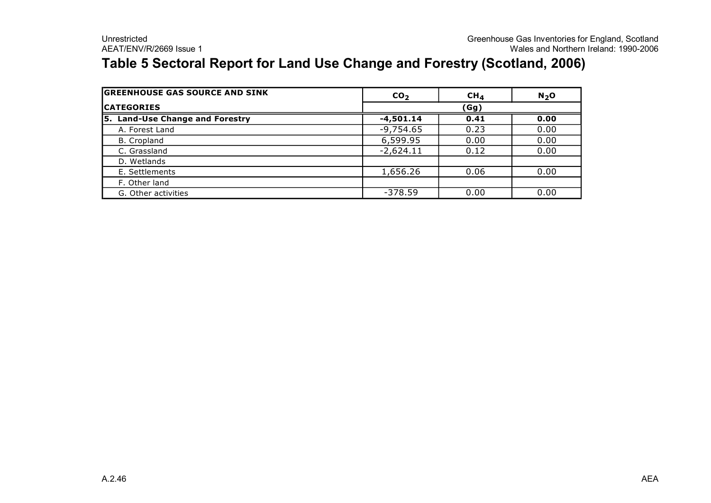### **Table 5 Sectoral Report for Land Use Change and Forestry (Scotland, 2006)**

| <b>GREENHOUSE GAS SOURCE AND SINK</b> | CO <sub>2</sub> | CH <sub>4</sub> | $N_2$ O |  |  |
|---------------------------------------|-----------------|-----------------|---------|--|--|
| <b>ICATEGORIES</b>                    |                 | (Gg)            |         |  |  |
| 5. Land-Use Change and Forestry       | $-4,501.14$     | 0.41            | 0.00    |  |  |
| A. Forest Land                        | $-9,754.65$     | 0.23            | 0.00    |  |  |
| B. Cropland                           | 6,599.95        | 0.00            | 0.00    |  |  |
| C. Grassland                          | $-2,624.11$     | 0.12            | 0.00    |  |  |
| D. Wetlands                           |                 |                 |         |  |  |
| E. Settlements                        | 1,656.26        | 0.06            | 0.00    |  |  |
| F. Other land                         |                 |                 |         |  |  |
| G. Other activities                   | $-378.59$       | 0.00            | 0.00    |  |  |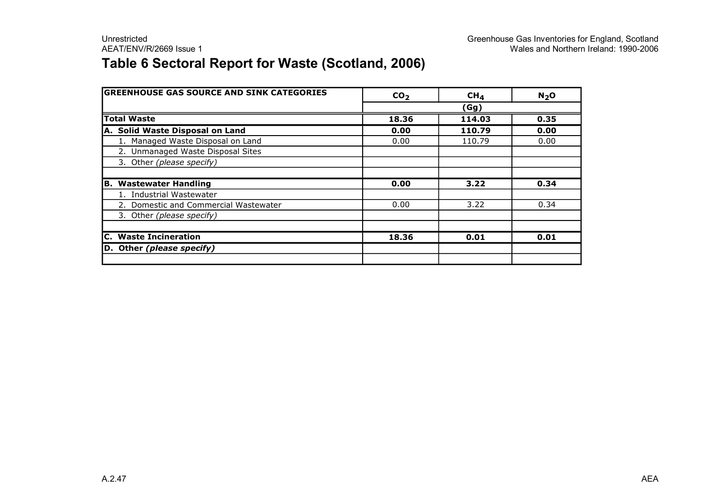### **Table 6 Sectoral Report for Waste (Scotland, 2006)**

| <b>GREENHOUSE GAS SOURCE AND SINK CATEGORIES</b> | CO <sub>2</sub> | CH <sub>4</sub> | N <sub>2</sub> O |
|--------------------------------------------------|-----------------|-----------------|------------------|
|                                                  |                 | (Gg)            |                  |
| <b>Total Waste</b>                               | 18.36           | 114.03          | 0.35             |
| A. Solid Waste Disposal on Land                  | 0.00            | 110.79          | 0.00             |
| 1. Managed Waste Disposal on Land                | 0.00            | 110.79          | 0.00             |
| 2. Unmanaged Waste Disposal Sites                |                 |                 |                  |
| 3. Other (please specify)                        |                 |                 |                  |
|                                                  |                 |                 |                  |
| <b>B. Wastewater Handling</b>                    | 0.00            | 3.22            | 0.34             |
| 1. Industrial Wastewater                         |                 |                 |                  |
| 2. Domestic and Commercial Wastewater            | 0.00            | 3.22            | 0.34             |
| 3. Other (please specify)                        |                 |                 |                  |
|                                                  |                 |                 |                  |
| <b>C.</b> Waste Incineration                     | 18.36           | 0.01            | 0.01             |
| D. Other (please specify)                        |                 |                 |                  |
|                                                  |                 |                 |                  |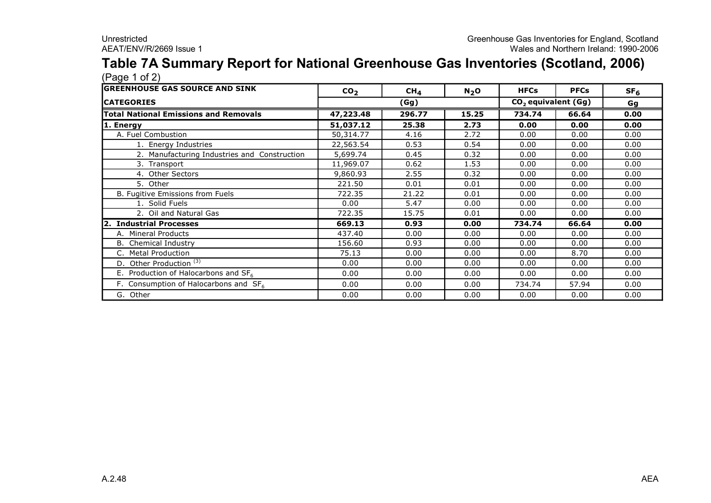#### **Table 7A Summary Report for National Greenhouse Gas Inventories (Scotland, 2006)** (Page 1 of 2)

| , כי כי י<br><b>IGREENHOUSE GAS SOURCE AND SINK</b> | CO <sub>2</sub> | CH <sub>4</sub> | $N_2$ O | <b>HFCs</b> | <b>PFCs</b>                     | SF <sub>6</sub> |  |  |    |
|-----------------------------------------------------|-----------------|-----------------|---------|-------------|---------------------------------|-----------------|--|--|----|
| <b>CATEGORIES</b>                                   |                 | (Gg)            |         |             | CO <sub>2</sub> equivalent (Gg) |                 |  |  | Gg |
| <b>Total National Emissions and Removals</b>        | 47,223.48       | 296.77          | 15.25   | 734.74      | 66.64                           | 0.00            |  |  |    |
| 1. Energy                                           | 51,037.12       | 25.38           | 2.73    | 0.00        | 0.00                            | 0.00            |  |  |    |
| A. Fuel Combustion                                  | 50,314.77       | 4.16            | 2.72    | 0.00        | 0.00                            | 0.00            |  |  |    |
| 1. Energy Industries                                | 22,563.54       | 0.53            | 0.54    | 0.00        | 0.00                            | 0.00            |  |  |    |
| 2. Manufacturing Industries and Construction        | 5,699.74        | 0.45            | 0.32    | 0.00        | 0.00                            | 0.00            |  |  |    |
| 3. Transport                                        | 11,969.07       | 0.62            | 1.53    | 0.00        | 0.00                            | 0.00            |  |  |    |
| 4. Other Sectors                                    | 9,860.93        | 2.55            | 0.32    | 0.00        | 0.00                            | 0.00            |  |  |    |
| 5. Other                                            | 221.50          | 0.01            | 0.01    | 0.00        | 0.00                            | 0.00            |  |  |    |
| B. Fugitive Emissions from Fuels                    | 722.35          | 21.22           | 0.01    | 0.00        | 0.00                            | 0.00            |  |  |    |
| 1. Solid Fuels                                      | 0.00            | 5.47            | 0.00    | 0.00        | 0.00                            | 0.00            |  |  |    |
| 2. Oil and Natural Gas                              | 722.35          | 15.75           | 0.01    | 0.00        | 0.00                            | 0.00            |  |  |    |
| 2. Industrial Processes                             | 669.13          | 0.93            | 0.00    | 734.74      | 66.64                           | 0.00            |  |  |    |
| A. Mineral Products                                 | 437.40          | 0.00            | 0.00    | 0.00        | 0.00                            | 0.00            |  |  |    |
| <b>B.</b> Chemical Industry                         | 156.60          | 0.93            | 0.00    | 0.00        | 0.00                            | 0.00            |  |  |    |
| <b>Metal Production</b><br>C.                       | 75.13           | 0.00            | 0.00    | 0.00        | 8.70                            | 0.00            |  |  |    |
| D. Other Production $(3)$                           | 0.00            | 0.00            | 0.00    | 0.00        | 0.00                            | 0.00            |  |  |    |
| E. Production of Halocarbons and SF <sub>6</sub>    | 0.00            | 0.00            | 0.00    | 0.00        | 0.00                            | 0.00            |  |  |    |
| F. Consumption of Halocarbons and $SF6$             | 0.00            | 0.00            | 0.00    | 734.74      | 57.94                           | 0.00            |  |  |    |
| G. Other                                            | 0.00            | 0.00            | 0.00    | 0.00        | 0.00                            | 0.00            |  |  |    |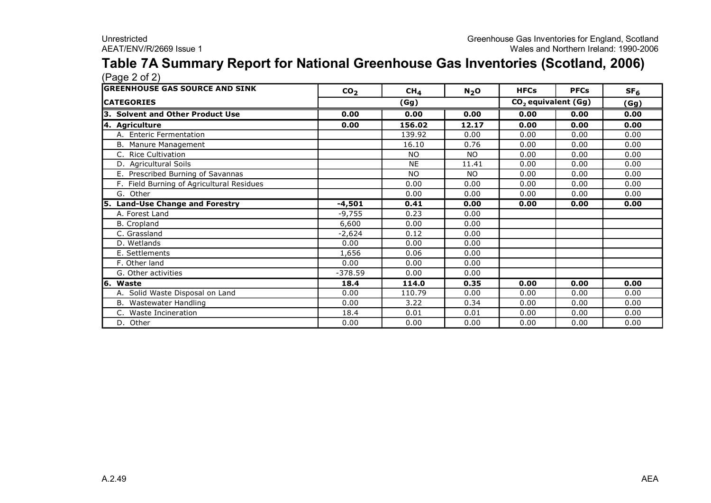#### **Table 7A Summary Report for National Greenhouse Gas Inventories (Scotland, 2006)**  $(P$ age  $2$  of  $2)$

| <b>GREENHOUSE GAS SOURCE AND SINK</b>     | CO <sub>2</sub> | CH <sub>4</sub> | N <sub>2</sub> O | <b>HFCs</b> | <b>PFCs</b>                     | SF <sub>6</sub> |
|-------------------------------------------|-----------------|-----------------|------------------|-------------|---------------------------------|-----------------|
| <b>CATEGORIES</b>                         |                 | (Gg)            |                  |             | CO <sub>2</sub> equivalent (Gg) | (Gg)            |
| 3. Solvent and Other Product Use          | 0.00            | 0.00            | 0.00             | 0.00        | 0.00                            | 0.00            |
| 4. Agriculture                            | 0.00            | 156.02          | 12.17            | 0.00        | 0.00                            | 0.00            |
| A. Enteric Fermentation                   |                 | 139.92          | 0.00             | 0.00        | 0.00                            | 0.00            |
| B. Manure Management                      |                 | 16.10           | 0.76             | 0.00        | 0.00                            | 0.00            |
| C. Rice Cultivation                       |                 | NO.             | NO.              | 0.00        | 0.00                            | 0.00            |
| D. Agricultural Soils                     |                 | <b>NE</b>       | 11.41            | 0.00        | 0.00                            | 0.00            |
| E. Prescribed Burning of Savannas         |                 | <b>NO</b>       | <b>NO</b>        | 0.00        | 0.00                            | 0.00            |
| F. Field Burning of Agricultural Residues |                 | 0.00            | 0.00             | 0.00        | 0.00                            | 0.00            |
| G. Other                                  |                 | 0.00            | 0.00             | 0.00        | 0.00                            | 0.00            |
| 5. Land-Use Change and Forestry           | $-4,501$        | 0.41            | 0.00             | 0.00        | 0.00                            | 0.00            |
| A. Forest Land                            | $-9,755$        | 0.23            | 0.00             |             |                                 |                 |
| <b>B.</b> Cropland                        | 6,600           | 0.00            | 0.00             |             |                                 |                 |
| C. Grassland                              | $-2,624$        | 0.12            | 0.00             |             |                                 |                 |
| D. Wetlands                               | 0.00            | 0.00            | 0.00             |             |                                 |                 |
| E. Settlements                            | 1,656           | 0.06            | 0.00             |             |                                 |                 |
| F. Other land                             | 0.00            | 0.00            | 0.00             |             |                                 |                 |
| G. Other activities                       | $-378.59$       | 0.00            | 0.00             |             |                                 |                 |
| 6. Waste                                  | 18.4            | 114.0           | 0.35             | 0.00        | 0.00                            | 0.00            |
| A. Solid Waste Disposal on Land           | 0.00            | 110.79          | 0.00             | 0.00        | 0.00                            | 0.00            |
| B. Wastewater Handling                    | 0.00            | 3.22            | 0.34             | 0.00        | 0.00                            | 0.00            |
| C. Waste Incineration                     | 18.4            | 0.01            | 0.01             | 0.00        | 0.00                            | 0.00            |
| D. Other                                  | 0.00            | 0.00            | 0.00             | 0.00        | 0.00                            | 0.00            |